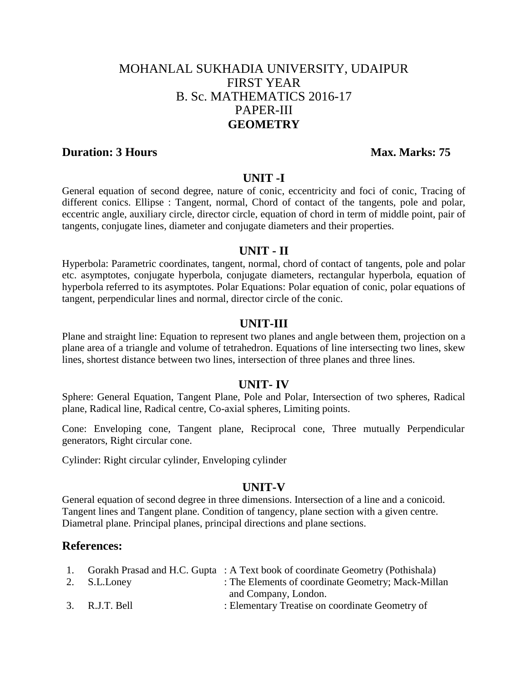# MOHANLAL SUKHADIA UNIVERSITY, UDAIPUR FIRST YEAR B. Sc. MATHEMATICS 2016-17 PAPER-III **GEOMETRY**

## **Duration: 3 Hours Max. Marks: 75**

#### **UNIT -I**

General equation of second degree, nature of conic, eccentricity and foci of conic, Tracing of different conics. Ellipse : Tangent, normal, Chord of contact of the tangents, pole and polar, eccentric angle, auxiliary circle, director circle, equation of chord in term of middle point, pair of tangents, conjugate lines, diameter and conjugate diameters and their properties.

#### **UNIT - II**

Hyperbola: Parametric coordinates, tangent, normal, chord of contact of tangents, pole and polar etc. asymptotes, conjugate hyperbola, conjugate diameters, rectangular hyperbola, equation of hyperbola referred to its asymptotes. Polar Equations: Polar equation of conic, polar equations of tangent, perpendicular lines and normal, director circle of the conic.

#### **UNIT-III**

Plane and straight line: Equation to represent two planes and angle between them, projection on a plane area of a triangle and volume of tetrahedron. Equations of line intersecting two lines, skew lines, shortest distance between two lines, intersection of three planes and three lines.

### **UNIT- IV**

Sphere: General Equation, Tangent Plane, Pole and Polar, Intersection of two spheres, Radical plane, Radical line, Radical centre, Co-axial spheres, Limiting points.

Cone: Enveloping cone, Tangent plane, Reciprocal cone, Three mutually Perpendicular generators, Right circular cone.

Cylinder: Right circular cylinder, Enveloping cylinder

#### **UNIT-V**

General equation of second degree in three dimensions. Intersection of a line and a conicoid. Tangent lines and Tangent plane. Condition of tangency, plane section with a given centre. Diametral plane. Principal planes, principal directions and plane sections.

## **References:**

|                | 1. Gorakh Prasad and H.C. Gupta : A Text book of coordinate Geometry (Pothishala) |
|----------------|-----------------------------------------------------------------------------------|
| 2. S.L.Loney   | : The Elements of coordinate Geometry; Mack-Millan                                |
|                | and Company, London.                                                              |
| 3. R.J.T. Bell | : Elementary Treatise on coordinate Geometry of                                   |